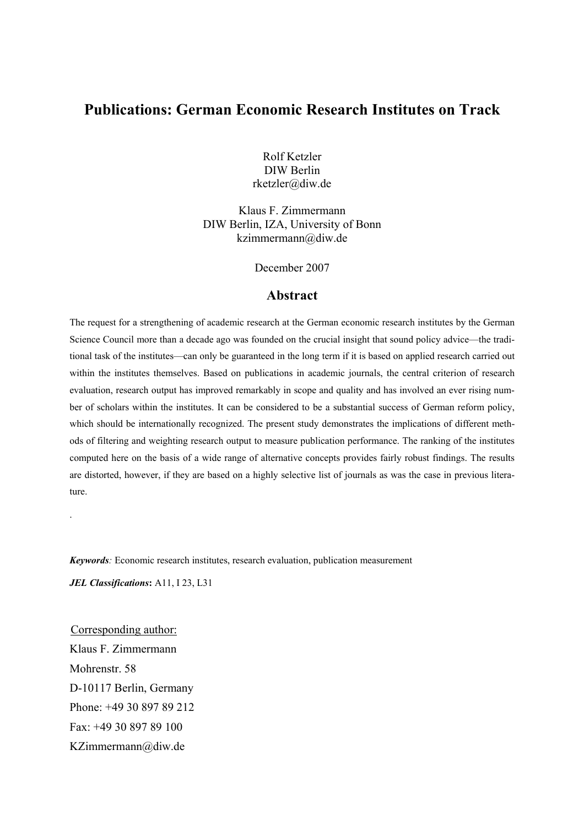# **Publications: German Economic Research Institutes on Track**

Rolf Ketzler DIW Berlin rketzler@diw.de

Klaus F. Zimmermann DIW Berlin, IZA, University of Bonn kzimmermann@diw.de

December 2007

## **Abstract**

The request for a strengthening of academic research at the German economic research institutes by the German Science Council more than a decade ago was founded on the crucial insight that sound policy advice—the traditional task of the institutes—can only be guaranteed in the long term if it is based on applied research carried out within the institutes themselves. Based on publications in academic journals, the central criterion of research evaluation, research output has improved remarkably in scope and quality and has involved an ever rising number of scholars within the institutes. It can be considered to be a substantial success of German reform policy, which should be internationally recognized. The present study demonstrates the implications of different methods of filtering and weighting research output to measure publication performance. The ranking of the institutes computed here on the basis of a wide range of alternative concepts provides fairly robust findings. The results are distorted, however, if they are based on a highly selective list of journals as was the case in previous literature.

*Keywords:* Economic research institutes, research evaluation, publication measurement

*JEL Classifications***:** A11, I 23, L31

.

Corresponding author: Klaus F. Zimmermann Mohrenstr. 58 D-10117 Berlin, Germany Phone: +49 30 897 89 212 Fax: +49 30 897 89 100 KZimmermann@diw.de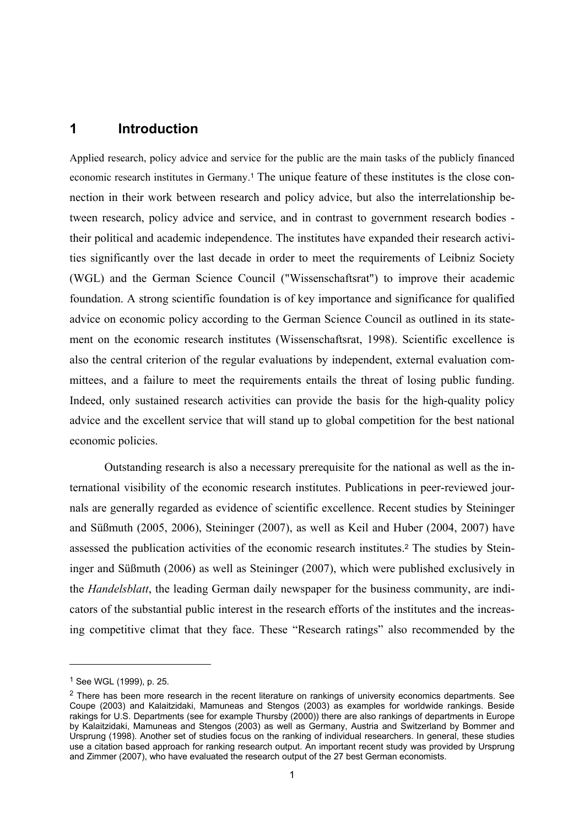## **1 Introduction**

Applied research, policy advice and service for the public are the main tasks of the publicly financed economic research institutes in Germany.[1](#page-1-0) The unique feature of these institutes is the close connection in their work between research and policy advice, but also the interrelationship between research, policy advice and service, and in contrast to government research bodies their political and academic independence. The institutes have expanded their research activities significantly over the last decade in order to meet the requirements of Leibniz Society (WGL) and the German Science Council ("Wissenschaftsrat") to improve their academic foundation. A strong scientific foundation is of key importance and significance for qualified advice on economic policy according to the German Science Council as outlined in its statement on the economic research institutes (Wissenschaftsrat, 1998). Scientific excellence is also the central criterion of the regular evaluations by independent, external evaluation committees, and a failure to meet the requirements entails the threat of losing public funding. Indeed, only sustained research activities can provide the basis for the high-quality policy advice and the excellent service that will stand up to global competition for the best national economic policies.

Outstanding research is also a necessary prerequisite for the national as well as the international visibility of the economic research institutes. Publications in peer-reviewed journals are generally regarded as evidence of scientific excellence. Recent studies by Steininger and Süßmuth (2005, 2006), Steininger (2007), as well as Keil and Huber (2004, 2007) have assessed the publication activities of the economic research institutes.2The studies by Steininger and Süßmuth (2006) as well as Steininger (2007), which were published exclusively in the *Handelsblatt*, the leading German daily newspaper for the business community, are indicators of the substantial public interest in the research efforts of the institutes and the increasing competitive climat that they face. These "Research ratings" also recommended by the

<span id="page-1-0"></span><sup>1</sup> See WGL (1999), p. 25.

<span id="page-1-1"></span><sup>&</sup>lt;sup>2</sup> There has been more research in the recent literature on rankings of university economics departments. See Coupe (2003) and Kalaitzidaki, Mamuneas and Stengos (2003) as examples for worldwide rankings. Beside rakings for U.S. Departments (see for example Thursby (2000)) there are also rankings of departments in Europe by Kalaitzidaki, Mamuneas and Stengos (2003) as well as Germany, Austria and Switzerland by Bommer and Ursprung (1998). Another set of studies focus on the ranking of individual researchers. In general, these studies use a citation based approach for ranking research output. An important recent study was provided by Ursprung and Zimmer (2007), who have evaluated the research output of the 27 best German economists.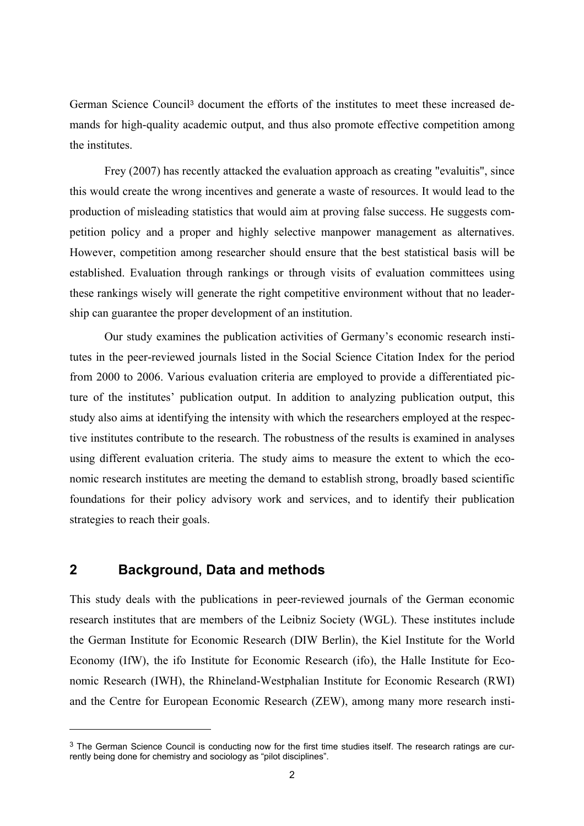German Science Council3document the efforts of the institutes to meet these increased demands for high-quality academic output, and thus also promote effective competition among the institutes.

Frey (2007) has recently attacked the evaluation approach as creating "evaluitis", since this would create the wrong incentives and generate a waste of resources. It would lead to the production of misleading statistics that would aim at proving false success. He suggests competition policy and a proper and highly selective manpower management as alternatives. However, competition among researcher should ensure that the best statistical basis will be established. Evaluation through rankings or through visits of evaluation committees using these rankings wisely will generate the right competitive environment without that no leadership can guarantee the proper development of an institution.

Our study examines the publication activities of Germany's economic research institutes in the peer-reviewed journals listed in the Social Science Citation Index for the period from 2000 to 2006. Various evaluation criteria are employed to provide a differentiated picture of the institutes' publication output. In addition to analyzing publication output, this study also aims at identifying the intensity with which the researchers employed at the respective institutes contribute to the research. The robustness of the results is examined in analyses using different evaluation criteria. The study aims to measure the extent to which the economic research institutes are meeting the demand to establish strong, broadly based scientific foundations for their policy advisory work and services, and to identify their publication strategies to reach their goals.

# **2 Background, Data and methods**

l

This study deals with the publications in peer-reviewed journals of the German economic research institutes that are members of the Leibniz Society (WGL). These institutes include the German Institute for Economic Research (DIW Berlin), the Kiel Institute for the World Economy (IfW), the ifo Institute for Economic Research (ifo), the Halle Institute for Economic Research (IWH), the Rhineland-Westphalian Institute for Economic Research (RWI) and the Centre for European Economic Research (ZEW), among many more research insti-

<span id="page-2-0"></span> $3$  The German Science Council is conducting now for the first time studies itself. The research ratings are currently being done for chemistry and sociology as "pilot disciplines".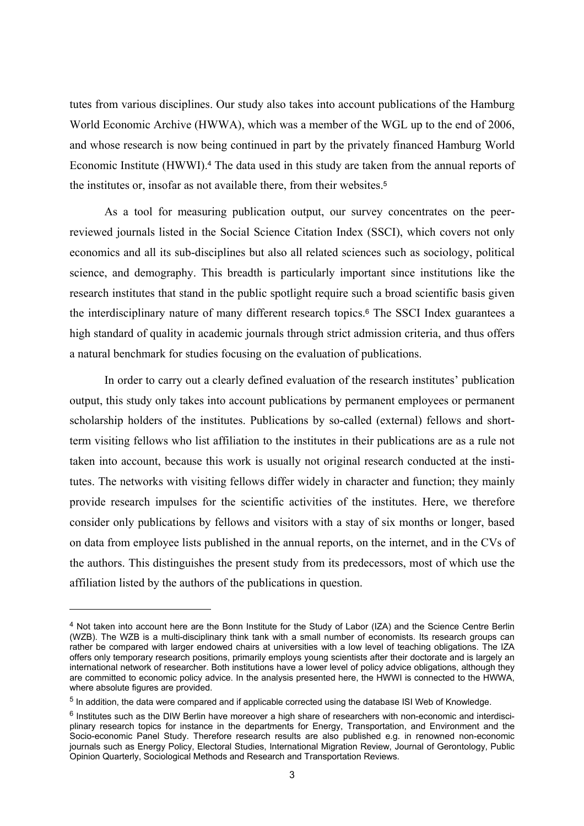tutes from various disciplines. Our study also takes into account publications of the Hamburg World Economic Archive (HWWA), which was a member of the WGL up to the end of 2006, and whose research is now being continued in part by the privately financed Hamburg World Economic Institute (HWWI).4The data used in this study are taken from the annual reports of the institutes or, insofar as not available there, from their websites.[5](#page-3-1)

As a tool for measuring publication output, our survey concentrates on the peerreviewed journals listed in the Social Science Citation Index (SSCI), which covers not only economics and all its sub-disciplines but also all related sciences such as sociology, political science, and demography. This breadth is particularly important since institutions like the research institutes that stand in the public spotlight require such a broad scientific basis given theinterdisciplinary nature of many different research topics.<sup>6</sup> The SSCI Index guarantees a high standard of quality in academic journals through strict admission criteria, and thus offers a natural benchmark for studies focusing on the evaluation of publications.

In order to carry out a clearly defined evaluation of the research institutes' publication output, this study only takes into account publications by permanent employees or permanent scholarship holders of the institutes. Publications by so-called (external) fellows and shortterm visiting fellows who list affiliation to the institutes in their publications are as a rule not taken into account, because this work is usually not original research conducted at the institutes. The networks with visiting fellows differ widely in character and function; they mainly provide research impulses for the scientific activities of the institutes. Here, we therefore consider only publications by fellows and visitors with a stay of six months or longer, based on data from employee lists published in the annual reports, on the internet, and in the CVs of the authors. This distinguishes the present study from its predecessors, most of which use the affiliation listed by the authors of the publications in question.

<span id="page-3-0"></span><sup>4</sup> Not taken into account here are the Bonn Institute for the Study of Labor (IZA) and the Science Centre Berlin (WZB). The WZB is a multi-disciplinary think tank with a small number of economists. Its research groups can rather be compared with larger endowed chairs at universities with a low level of teaching obligations. The IZA offers only temporary research positions, primarily employs young scientists after their doctorate and is largely an international network of researcher. Both institutions have a lower level of policy advice obligations, although they are committed to economic policy advice. In the analysis presented here, the HWWI is connected to the HWWA, where absolute figures are provided.

<span id="page-3-1"></span><sup>5</sup> In addition, the data were compared and if applicable corrected using the database ISI Web of Knowledge.

<span id="page-3-2"></span> $6$  Institutes such as the DIW Berlin have moreover a high share of researchers with non-economic and interdisciplinary research topics for instance in the departments for Energy, Transportation, and Environment and the Socio-economic Panel Study. Therefore research results are also published e.g. in renowned non-economic journals such as Energy Policy, Electoral Studies, International Migration Review, Journal of Gerontology, Public Opinion Quarterly, Sociological Methods and Research and Transportation Reviews.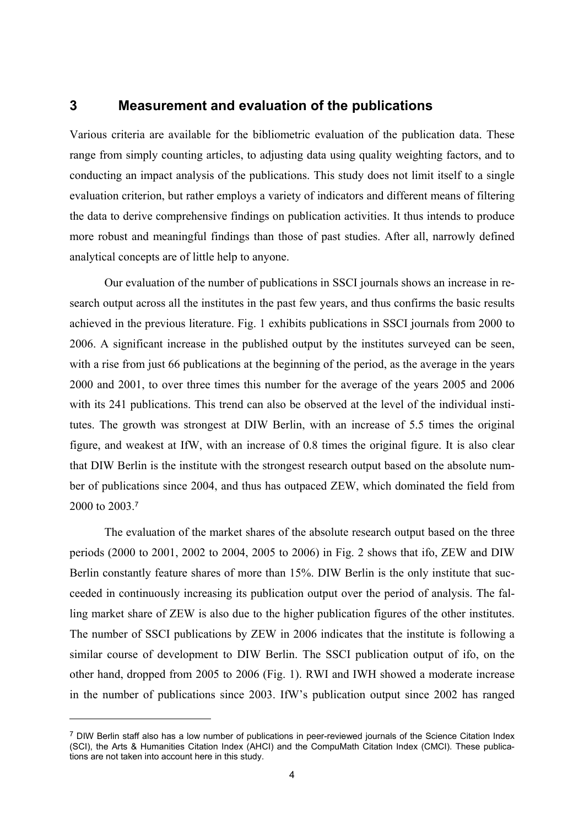# **3 Measurement and evaluation of the publications**

Various criteria are available for the bibliometric evaluation of the publication data. These range from simply counting articles, to adjusting data using quality weighting factors, and to conducting an impact analysis of the publications. This study does not limit itself to a single evaluation criterion, but rather employs a variety of indicators and different means of filtering the data to derive comprehensive findings on publication activities. It thus intends to produce more robust and meaningful findings than those of past studies. After all, narrowly defined analytical concepts are of little help to anyone.

Our evaluation of the number of publications in SSCI journals shows an increase in research output across all the institutes in the past few years, and thus confirms the basic results achieved in the previous literature. Fig. 1 exhibits publications in SSCI journals from 2000 to 2006. A significant increase in the published output by the institutes surveyed can be seen, with a rise from just 66 publications at the beginning of the period, as the average in the years 2000 and 2001, to over three times this number for the average of the years 2005 and 2006 with its 241 publications. This trend can also be observed at the level of the individual institutes. The growth was strongest at DIW Berlin, with an increase of 5.5 times the original figure, and weakest at IfW, with an increase of 0.8 times the original figure. It is also clear that DIW Berlin is the institute with the strongest research output based on the absolute number of publications since 2004, and thus has outpaced ZEW, which dominated the field from 2000 to 2003<sup>[7](#page-4-0)</sup>

The evaluation of the market shares of the absolute research output based on the three periods (2000 to 2001, 2002 to 2004, 2005 to 2006) in Fig. 2 shows that ifo, ZEW and DIW Berlin constantly feature shares of more than 15%. DIW Berlin is the only institute that succeeded in continuously increasing its publication output over the period of analysis. The falling market share of ZEW is also due to the higher publication figures of the other institutes. The number of SSCI publications by ZEW in 2006 indicates that the institute is following a similar course of development to DIW Berlin. The SSCI publication output of ifo, on the other hand, dropped from 2005 to 2006 (Fig. 1). RWI and IWH showed a moderate increase in the number of publications since 2003. IfW's publication output since 2002 has ranged

<span id="page-4-0"></span> $<sup>7</sup>$  DIW Berlin staff also has a low number of publications in peer-reviewed iournals of the Science Citation Index</sup> (SCI), the Arts & Humanities Citation Index (AHCI) and the CompuMath Citation Index (CMCI). These publications are not taken into account here in this study.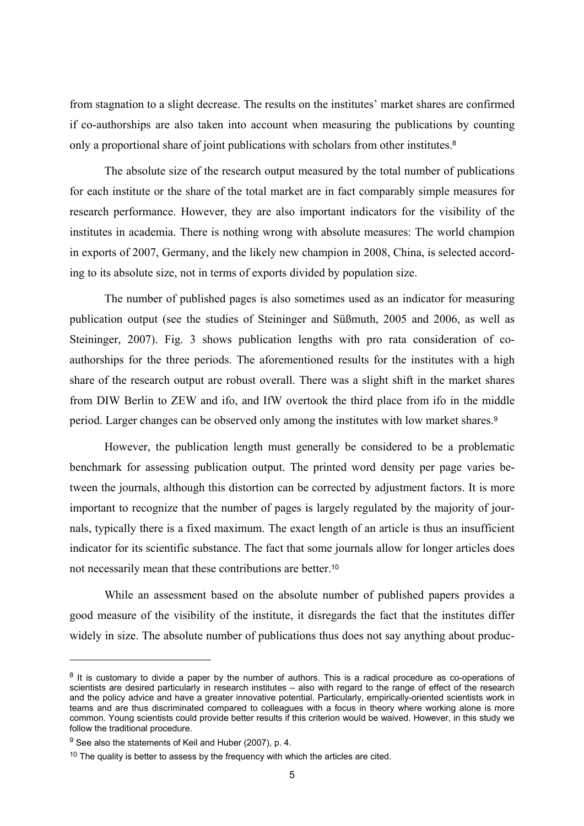from stagnation to a slight decrease. The results on the institutes' market shares are confirmed if co-authorships are also taken into account when measuring the publications by counting only a proportional share of joint publications with scholars from other institutes.[8](#page-5-0)

The absolute size of the research output measured by the total number of publications for each institute or the share of the total market are in fact comparably simple measures for research performance. However, they are also important indicators for the visibility of the institutes in academia. There is nothing wrong with absolute measures: The world champion in exports of 2007, Germany, and the likely new champion in 2008, China, is selected according to its absolute size, not in terms of exports divided by population size.

The number of published pages is also sometimes used as an indicator for measuring publication output (see the studies of Steininger and Süßmuth, 2005 and 2006, as well as Steininger, 2007). Fig. 3 shows publication lengths with pro rata consideration of coauthorships for the three periods. The aforementioned results for the institutes with a high share of the research output are robust overall. There was a slight shift in the market shares from DIW Berlin to ZEW and ifo, and IfW overtook the third place from ifo in the middle period. Larger changes can be observed only among the institutes with low market shares.[9](#page-5-1)

However, the publication length must generally be considered to be a problematic benchmark for assessing publication output. The printed word density per page varies between the journals, although this distortion can be corrected by adjustment factors. It is more important to recognize that the number of pages is largely regulated by the majority of journals, typically there is a fixed maximum. The exact length of an article is thus an insufficient indicator for its scientific substance. The fact that some journals allow for longer articles does not necessarily mean that these contributions are better.[10](#page-5-2)

While an assessment based on the absolute number of published papers provides a good measure of the visibility of the institute, it disregards the fact that the institutes differ widely in size. The absolute number of publications thus does not say anything about produc-

<span id="page-5-0"></span><sup>&</sup>lt;sup>8</sup> It is customary to divide a paper by the number of authors. This is a radical procedure as co-operations of scientists are desired particularly in research institutes – also with regard to the range of effect of the research and the policy advice and have a greater innovative potential. Particularly, empirically-oriented scientists work in teams and are thus discriminated compared to colleagues with a focus in theory where working alone is more common. Young scientists could provide better results if this criterion would be waived. However, in this study we follow the traditional procedure.

<span id="page-5-1"></span> $9$  See also the statements of Keil and Huber (2007), p. 4.

<span id="page-5-2"></span> $10$  The quality is better to assess by the frequency with which the articles are cited.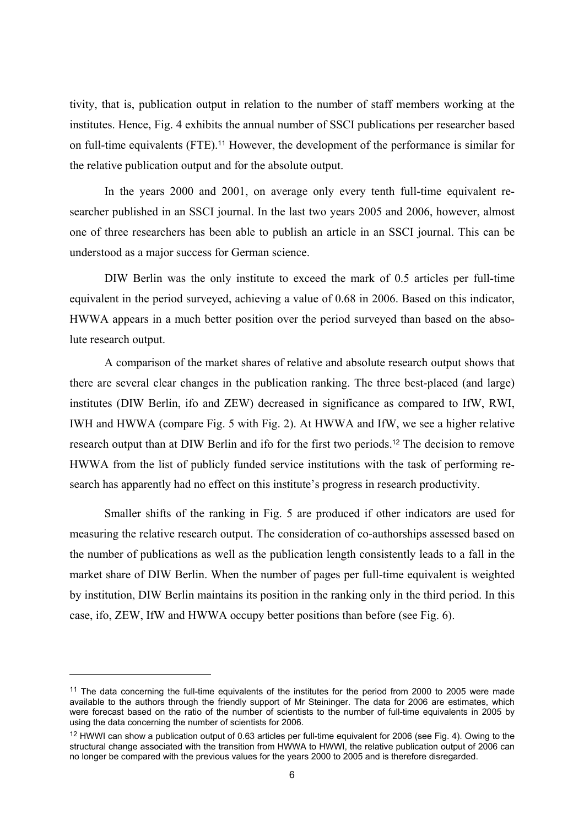tivity, that is, publication output in relation to the number of staff members working at the institutes. Hence, Fig. 4 exhibits the annual number of SSCI publications per researcher based on full-time equivalents (FTE).[11](#page-6-0) However, the development of the performance is similar for the relative publication output and for the absolute output.

In the years 2000 and 2001, on average only every tenth full-time equivalent researcher published in an SSCI journal. In the last two years 2005 and 2006, however, almost one of three researchers has been able to publish an article in an SSCI journal. This can be understood as a major success for German science.

DIW Berlin was the only institute to exceed the mark of 0.5 articles per full-time equivalent in the period surveyed, achieving a value of 0.68 in 2006. Based on this indicator, HWWA appears in a much better position over the period surveyed than based on the absolute research output.

A comparison of the market shares of relative and absolute research output shows that there are several clear changes in the publication ranking. The three best-placed (and large) institutes (DIW Berlin, ifo and ZEW) decreased in significance as compared to IfW, RWI, IWH and HWWA (compare Fig. 5 with Fig. 2). At HWWA and IfW, we see a higher relative research output than at DIW Berlin and ifo for the first two periods.[12](#page-6-1) The decision to remove HWWA from the list of publicly funded service institutions with the task of performing research has apparently had no effect on this institute's progress in research productivity.

Smaller shifts of the ranking in Fig. 5 are produced if other indicators are used for measuring the relative research output. The consideration of co-authorships assessed based on the number of publications as well as the publication length consistently leads to a fall in the market share of DIW Berlin. When the number of pages per full-time equivalent is weighted by institution, DIW Berlin maintains its position in the ranking only in the third period. In this case, ifo, ZEW, IfW and HWWA occupy better positions than before (see Fig. 6).

l

<span id="page-6-0"></span><sup>&</sup>lt;sup>11</sup> The data concerning the full-time equivalents of the institutes for the period from 2000 to 2005 were made available to the authors through the friendly support of Mr Steininger. The data for 2006 are estimates, which were forecast based on the ratio of the number of scientists to the number of full-time equivalents in 2005 by using the data concerning the number of scientists for 2006.

<span id="page-6-1"></span><sup>&</sup>lt;sup>12</sup> HWWI can show a publication output of 0.63 articles per full-time equivalent for 2006 (see Fig. 4). Owing to the structural change associated with the transition from HWWA to HWWI, the relative publication output of 2006 can no longer be compared with the previous values for the years 2000 to 2005 and is therefore disregarded.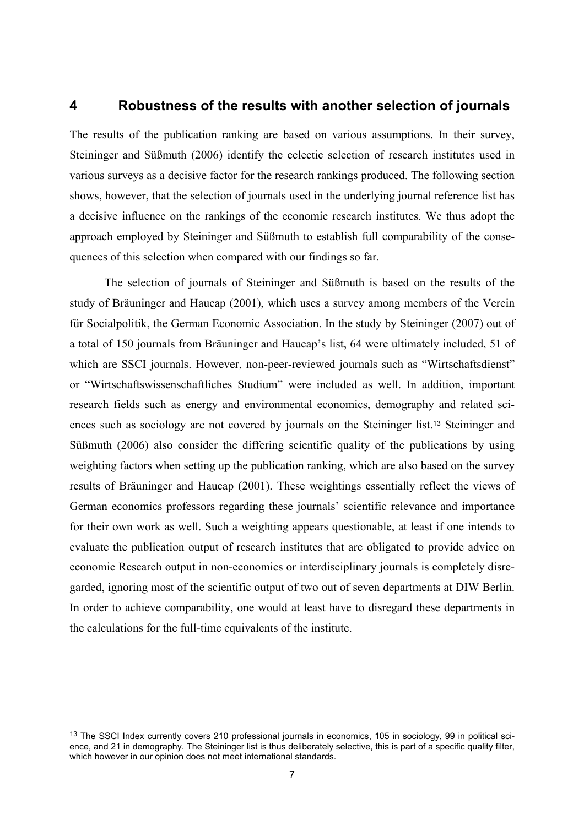#### **4 Robustness of the results with another selection of journals**

The results of the publication ranking are based on various assumptions. In their survey, Steininger and Süßmuth (2006) identify the eclectic selection of research institutes used in various surveys as a decisive factor for the research rankings produced. The following section shows, however, that the selection of journals used in the underlying journal reference list has a decisive influence on the rankings of the economic research institutes. We thus adopt the approach employed by Steininger and Süßmuth to establish full comparability of the consequences of this selection when compared with our findings so far.

The selection of journals of Steininger and Süßmuth is based on the results of the study of Bräuninger and Haucap (2001), which uses a survey among members of the Verein für Socialpolitik, the German Economic Association. In the study by Steininger (2007) out of a total of 150 journals from Bräuninger and Haucap's list, 64 were ultimately included, 51 of which are SSCI journals. However, non-peer-reviewed journals such as "Wirtschaftsdienst" or "Wirtschaftswissenschaftliches Studium" were included as well. In addition, important research fields such as energy and environmental economics, demography and related sciences such as sociology are not covered by journals on the Steininger list.[13](#page-7-0) Steininger and Süßmuth (2006) also consider the differing scientific quality of the publications by using weighting factors when setting up the publication ranking, which are also based on the survey results of Bräuninger and Haucap (2001). These weightings essentially reflect the views of German economics professors regarding these journals' scientific relevance and importance for their own work as well. Such a weighting appears questionable, at least if one intends to evaluate the publication output of research institutes that are obligated to provide advice on economic Research output in non-economics or interdisciplinary journals is completely disregarded, ignoring most of the scientific output of two out of seven departments at DIW Berlin. In order to achieve comparability, one would at least have to disregard these departments in the calculations for the full-time equivalents of the institute.

<span id="page-7-0"></span><sup>&</sup>lt;sup>13</sup> The SSCI Index currently covers 210 professional journals in economics, 105 in sociology, 99 in political science, and 21 in demography. The Steininger list is thus deliberately selective, this is part of a specific quality filter, which however in our opinion does not meet international standards.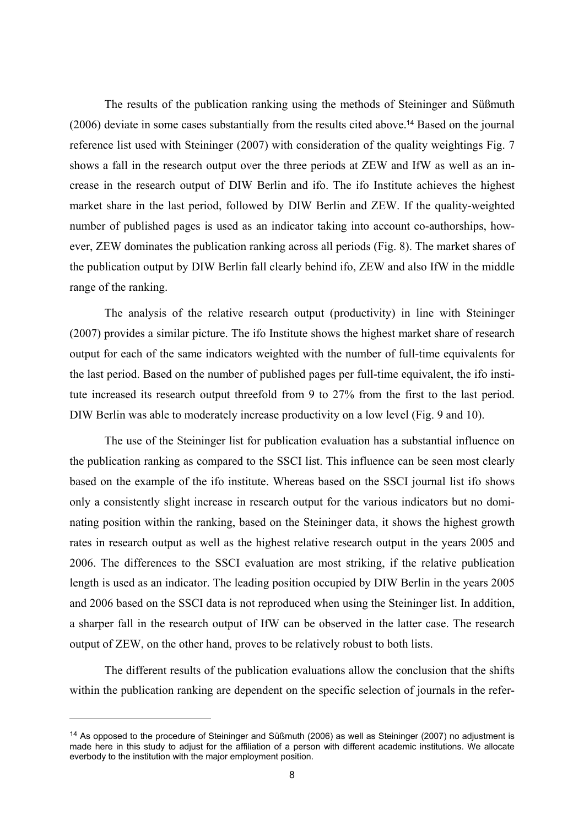The results of the publication ranking using the methods of Steininger and Süßmuth (2006) deviate in some cases substantially from the results cited above.[14](#page-8-0) Based on the journal reference list used with Steininger (2007) with consideration of the quality weightings Fig. 7 shows a fall in the research output over the three periods at ZEW and IfW as well as an increase in the research output of DIW Berlin and ifo. The ifo Institute achieves the highest market share in the last period, followed by DIW Berlin and ZEW. If the quality-weighted number of published pages is used as an indicator taking into account co-authorships, however, ZEW dominates the publication ranking across all periods (Fig. 8). The market shares of the publication output by DIW Berlin fall clearly behind ifo, ZEW and also IfW in the middle range of the ranking.

The analysis of the relative research output (productivity) in line with Steininger (2007) provides a similar picture. The ifo Institute shows the highest market share of research output for each of the same indicators weighted with the number of full-time equivalents for the last period. Based on the number of published pages per full-time equivalent, the ifo institute increased its research output threefold from 9 to 27% from the first to the last period. DIW Berlin was able to moderately increase productivity on a low level (Fig. 9 and 10).

The use of the Steininger list for publication evaluation has a substantial influence on the publication ranking as compared to the SSCI list. This influence can be seen most clearly based on the example of the ifo institute. Whereas based on the SSCI journal list ifo shows only a consistently slight increase in research output for the various indicators but no dominating position within the ranking, based on the Steininger data, it shows the highest growth rates in research output as well as the highest relative research output in the years 2005 and 2006. The differences to the SSCI evaluation are most striking, if the relative publication length is used as an indicator. The leading position occupied by DIW Berlin in the years 2005 and 2006 based on the SSCI data is not reproduced when using the Steininger list. In addition, a sharper fall in the research output of IfW can be observed in the latter case. The research output of ZEW, on the other hand, proves to be relatively robust to both lists.

The different results of the publication evaluations allow the conclusion that the shifts within the publication ranking are dependent on the specific selection of journals in the refer-

<span id="page-8-0"></span><sup>14</sup> As opposed to the procedure of Steininger and Süßmuth (2006) as well as Steininger (2007) no adjustment is made here in this study to adjust for the affiliation of a person with different academic institutions. We allocate everbody to the institution with the major employment position.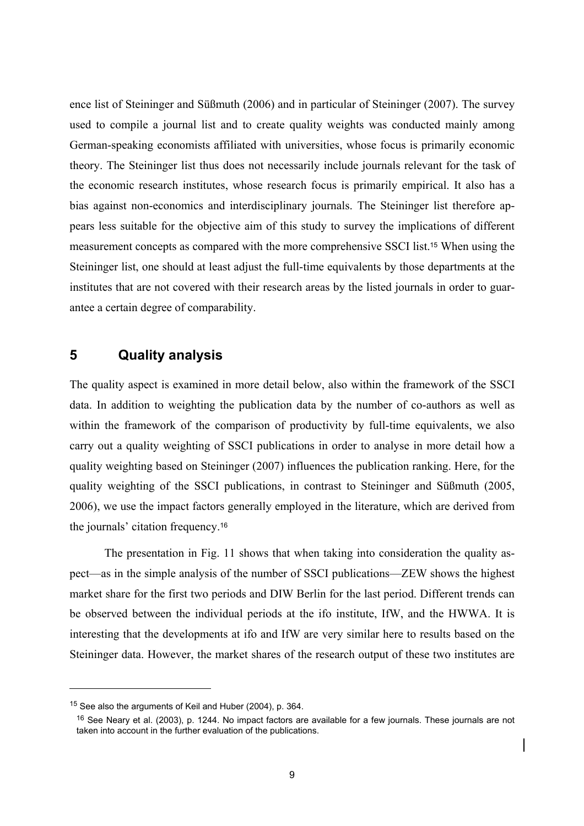ence list of Steininger and Süßmuth (2006) and in particular of Steininger (2007). The survey used to compile a journal list and to create quality weights was conducted mainly among German-speaking economists affiliated with universities, whose focus is primarily economic theory. The Steininger list thus does not necessarily include journals relevant for the task of the economic research institutes, whose research focus is primarily empirical. It also has a bias against non-economics and interdisciplinary journals. The Steininger list therefore appears less suitable for the objective aim of this study to survey the implications of different measurement concepts as compared with the more comprehensive SSCI list.[15](#page-9-0) When using the Steininger list, one should at least adjust the full-time equivalents by those departments at the institutes that are not covered with their research areas by the listed journals in order to guarantee a certain degree of comparability.

# **5 Quality analysis**

The quality aspect is examined in more detail below, also within the framework of the SSCI data. In addition to weighting the publication data by the number of co-authors as well as within the framework of the comparison of productivity by full-time equivalents, we also carry out a quality weighting of SSCI publications in order to analyse in more detail how a quality weighting based on Steininger (2007) influences the publication ranking. Here, for the quality weighting of the SSCI publications, in contrast to Steininger and Süßmuth (2005, 2006), we use the impact factors generally employed in the literature, which are derived from the journals' citation frequency.[16](#page-9-1)

The presentation in Fig. 11 shows that when taking into consideration the quality aspect—as in the simple analysis of the number of SSCI publications—ZEW shows the highest market share for the first two periods and DIW Berlin for the last period. Different trends can be observed between the individual periods at the ifo institute, IfW, and the HWWA. It is interesting that the developments at ifo and IfW are very similar here to results based on the Steininger data. However, the market shares of the research output of these two institutes are

l

<span id="page-9-0"></span><sup>15</sup> See also the arguments of Keil and Huber (2004), p. 364.

<span id="page-9-1"></span><sup>&</sup>lt;sup>16</sup> See Neary et al. (2003), p. 1244. No impact factors are available for a few journals. These journals are not taken into account in the further evaluation of the publications.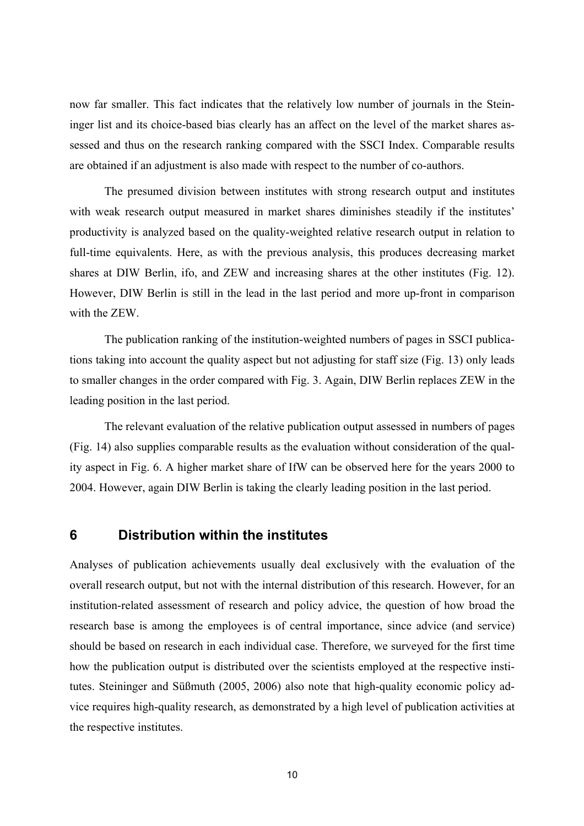now far smaller. This fact indicates that the relatively low number of journals in the Steininger list and its choice-based bias clearly has an affect on the level of the market shares assessed and thus on the research ranking compared with the SSCI Index. Comparable results are obtained if an adjustment is also made with respect to the number of co-authors.

The presumed division between institutes with strong research output and institutes with weak research output measured in market shares diminishes steadily if the institutes' productivity is analyzed based on the quality-weighted relative research output in relation to full-time equivalents. Here, as with the previous analysis, this produces decreasing market shares at DIW Berlin, ifo, and ZEW and increasing shares at the other institutes (Fig. 12). However, DIW Berlin is still in the lead in the last period and more up-front in comparison with the ZEW.

The publication ranking of the institution-weighted numbers of pages in SSCI publications taking into account the quality aspect but not adjusting for staff size (Fig. 13) only leads to smaller changes in the order compared with Fig. 3. Again, DIW Berlin replaces ZEW in the leading position in the last period.

The relevant evaluation of the relative publication output assessed in numbers of pages (Fig. 14) also supplies comparable results as the evaluation without consideration of the quality aspect in Fig. 6. A higher market share of IfW can be observed here for the years 2000 to 2004. However, again DIW Berlin is taking the clearly leading position in the last period.

# **6 Distribution within the institutes**

Analyses of publication achievements usually deal exclusively with the evaluation of the overall research output, but not with the internal distribution of this research. However, for an institution-related assessment of research and policy advice, the question of how broad the research base is among the employees is of central importance, since advice (and service) should be based on research in each individual case. Therefore, we surveyed for the first time how the publication output is distributed over the scientists employed at the respective institutes. Steininger and Süßmuth (2005, 2006) also note that high-quality economic policy advice requires high-quality research, as demonstrated by a high level of publication activities at the respective institutes.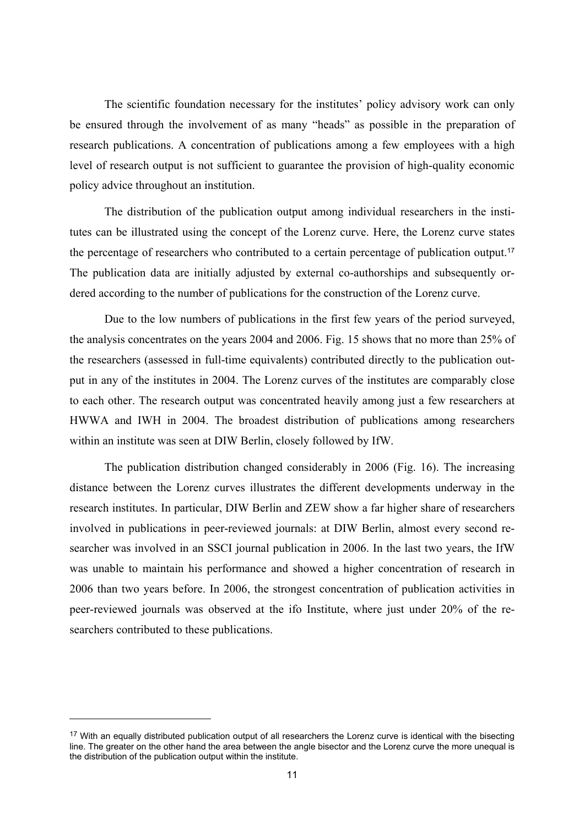The scientific foundation necessary for the institutes' policy advisory work can only be ensured through the involvement of as many "heads" as possible in the preparation of research publications. A concentration of publications among a few employees with a high level of research output is not sufficient to guarantee the provision of high-quality economic policy advice throughout an institution.

The distribution of the publication output among individual researchers in the institutes can be illustrated using the concept of the Lorenz curve. Here, the Lorenz curve states the percentage of researchers who contributed to a certain percentage of publication output.[17](#page-11-0) The publication data are initially adjusted by external co-authorships and subsequently ordered according to the number of publications for the construction of the Lorenz curve.

Due to the low numbers of publications in the first few years of the period surveyed, the analysis concentrates on the years 2004 and 2006. Fig. 15 shows that no more than 25% of the researchers (assessed in full-time equivalents) contributed directly to the publication output in any of the institutes in 2004. The Lorenz curves of the institutes are comparably close to each other. The research output was concentrated heavily among just a few researchers at HWWA and IWH in 2004. The broadest distribution of publications among researchers within an institute was seen at DIW Berlin, closely followed by IfW.

The publication distribution changed considerably in 2006 (Fig. 16). The increasing distance between the Lorenz curves illustrates the different developments underway in the research institutes. In particular, DIW Berlin and ZEW show a far higher share of researchers involved in publications in peer-reviewed journals: at DIW Berlin, almost every second researcher was involved in an SSCI journal publication in 2006. In the last two years, the IfW was unable to maintain his performance and showed a higher concentration of research in 2006 than two years before. In 2006, the strongest concentration of publication activities in peer-reviewed journals was observed at the ifo Institute, where just under 20% of the researchers contributed to these publications.

<span id="page-11-0"></span> $17$  With an equally distributed publication output of all researchers the Lorenz curve is identical with the bisecting line. The greater on the other hand the area between the angle bisector and the Lorenz curve the more unequal is the distribution of the publication output within the institute.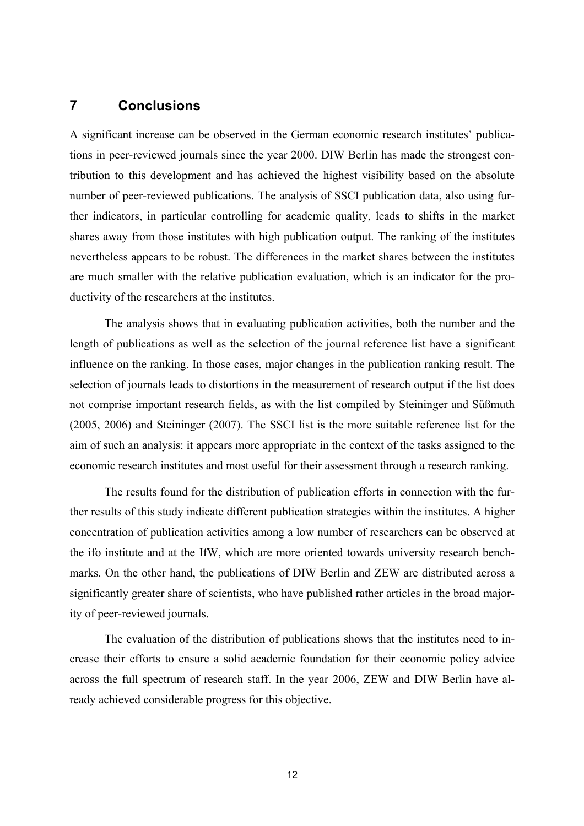# **7 Conclusions**

A significant increase can be observed in the German economic research institutes' publications in peer-reviewed journals since the year 2000. DIW Berlin has made the strongest contribution to this development and has achieved the highest visibility based on the absolute number of peer-reviewed publications. The analysis of SSCI publication data, also using further indicators, in particular controlling for academic quality, leads to shifts in the market shares away from those institutes with high publication output. The ranking of the institutes nevertheless appears to be robust. The differences in the market shares between the institutes are much smaller with the relative publication evaluation, which is an indicator for the productivity of the researchers at the institutes.

The analysis shows that in evaluating publication activities, both the number and the length of publications as well as the selection of the journal reference list have a significant influence on the ranking. In those cases, major changes in the publication ranking result. The selection of journals leads to distortions in the measurement of research output if the list does not comprise important research fields, as with the list compiled by Steininger and Süßmuth (2005, 2006) and Steininger (2007). The SSCI list is the more suitable reference list for the aim of such an analysis: it appears more appropriate in the context of the tasks assigned to the economic research institutes and most useful for their assessment through a research ranking.

The results found for the distribution of publication efforts in connection with the further results of this study indicate different publication strategies within the institutes. A higher concentration of publication activities among a low number of researchers can be observed at the ifo institute and at the IfW, which are more oriented towards university research benchmarks. On the other hand, the publications of DIW Berlin and ZEW are distributed across a significantly greater share of scientists, who have published rather articles in the broad majority of peer-reviewed journals.

The evaluation of the distribution of publications shows that the institutes need to increase their efforts to ensure a solid academic foundation for their economic policy advice across the full spectrum of research staff. In the year 2006, ZEW and DIW Berlin have already achieved considerable progress for this objective.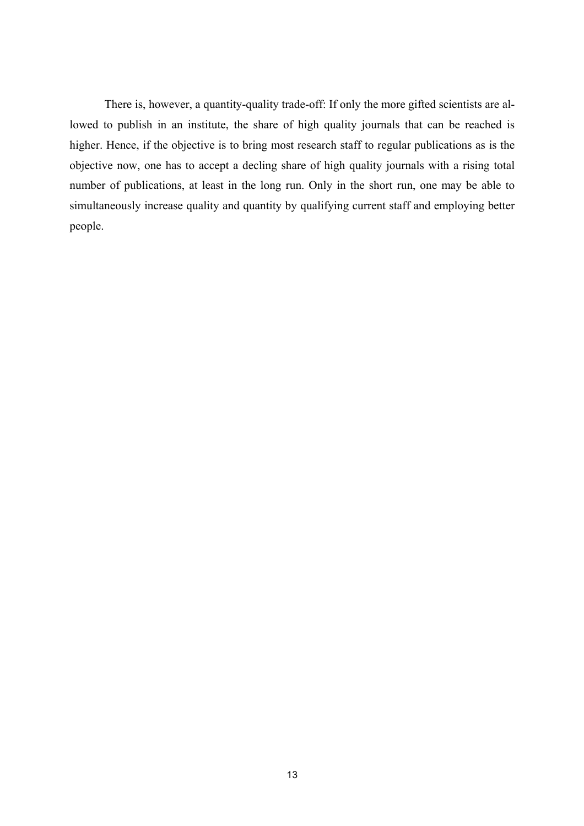There is, however, a quantity-quality trade-off: If only the more gifted scientists are allowed to publish in an institute, the share of high quality journals that can be reached is higher. Hence, if the objective is to bring most research staff to regular publications as is the objective now, one has to accept a decling share of high quality journals with a rising total number of publications, at least in the long run. Only in the short run, one may be able to simultaneously increase quality and quantity by qualifying current staff and employing better people.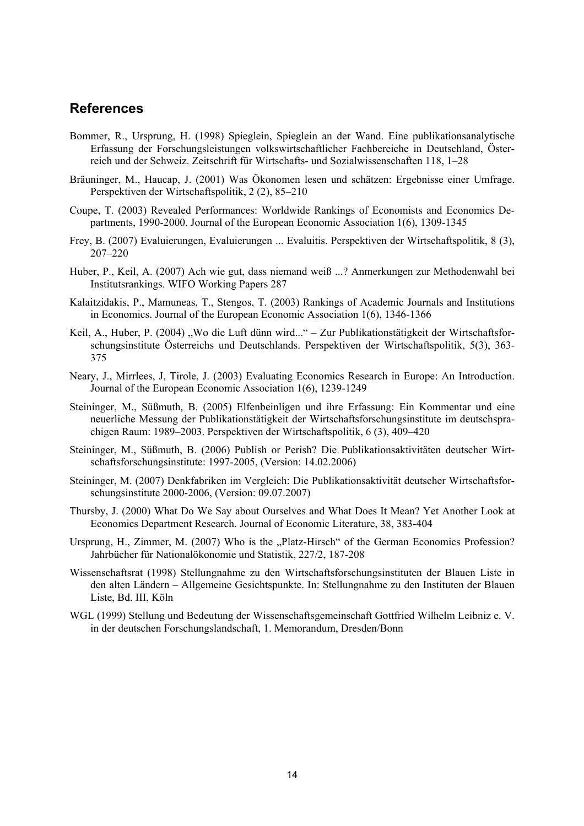# **References**

- Bommer, R., Ursprung, H. (1998) Spieglein, Spieglein an der Wand. Eine publikationsanalytische Erfassung der Forschungsleistungen volkswirtschaftlicher Fachbereiche in Deutschland, Österreich und der Schweiz. Zeitschrift für Wirtschafts- und Sozialwissenschaften 118, 1–28
- Bräuninger, M., Haucap, J. (2001) Was Ökonomen lesen und schätzen: Ergebnisse einer Umfrage. Perspektiven der Wirtschaftspolitik, 2 (2), 85–210
- Coupe, T. (2003) Revealed Performances: Worldwide Rankings of Economists and Economics Departments, 1990-2000. Journal of the European Economic Association 1(6), 1309-1345
- Frey, B. (2007) Evaluierungen, Evaluierungen ... Evaluitis. Perspektiven der Wirtschaftspolitik, 8 (3), 207–220
- Huber, P., Keil, A. (2007) Ach wie gut, dass niemand weiß ...? Anmerkungen zur Methodenwahl bei Institutsrankings. WIFO Working Papers 287
- Kalaitzidakis, P., Mamuneas, T., Stengos, T. (2003) Rankings of Academic Journals and Institutions in Economics. Journal of the European Economic Association 1(6), 1346-1366
- Keil, A., Huber, P. (2004) "Wo die Luft dünn wird..." Zur Publikationstätigkeit der Wirtschaftsforschungsinstitute Österreichs und Deutschlands. Perspektiven der Wirtschaftspolitik, 5(3), 363- 375
- Neary, J., Mirrlees, J, Tirole, J. (2003) Evaluating Economics Research in Europe: An Introduction. Journal of the European Economic Association 1(6), 1239-1249
- Steininger, M., Süßmuth, B. (2005) Elfenbeinligen und ihre Erfassung: Ein Kommentar und eine neuerliche Messung der Publikationstätigkeit der Wirtschaftsforschungsinstitute im deutschsprachigen Raum: 1989–2003. Perspektiven der Wirtschaftspolitik, 6 (3), 409–420
- Steininger, M., Süßmuth, B. (2006) Publish or Perish? Die Publikationsaktivitäten deutscher Wirtschaftsforschungsinstitute: 1997-2005, (Version: 14.02.2006)
- Steininger, M. (2007) Denkfabriken im Vergleich: Die Publikationsaktivität deutscher Wirtschaftsforschungsinstitute 2000-2006, (Version: 09.07.2007)
- Thursby, J. (2000) What Do We Say about Ourselves and What Does It Mean? Yet Another Look at Economics Department Research. Journal of Economic Literature, 38, 383-404
- Ursprung, H., Zimmer, M. (2007) Who is the "Platz-Hirsch" of the German Economics Profession? Jahrbücher für Nationalökonomie und Statistik, 227/2, 187-208
- Wissenschaftsrat (1998) Stellungnahme zu den Wirtschaftsforschungsinstituten der Blauen Liste in den alten Ländern – Allgemeine Gesichtspunkte. In: Stellungnahme zu den Instituten der Blauen Liste, Bd. III, Köln
- WGL (1999) Stellung und Bedeutung der Wissenschaftsgemeinschaft Gottfried Wilhelm Leibniz e. V. in der deutschen Forschungslandschaft, 1. Memorandum, Dresden/Bonn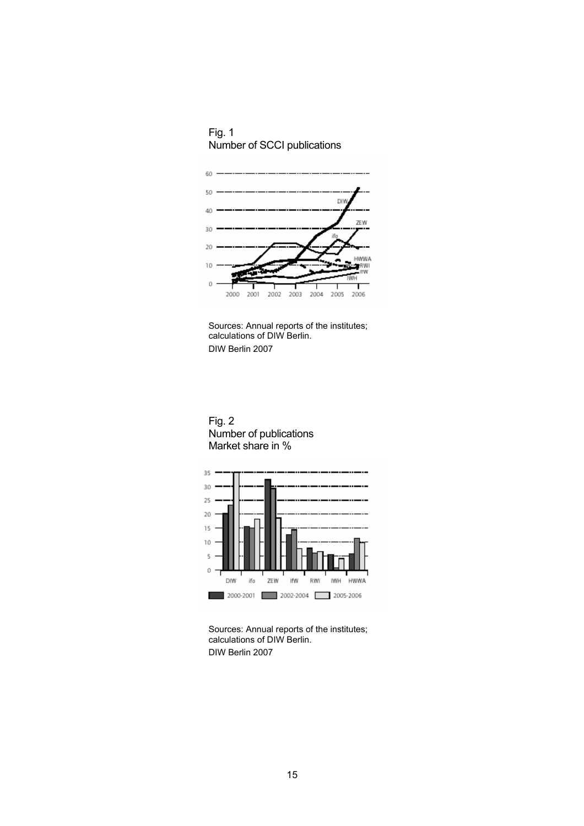



 Sources: Annual reports of the institutes; calculations of DIW Berlin. DIW Berlin 2007





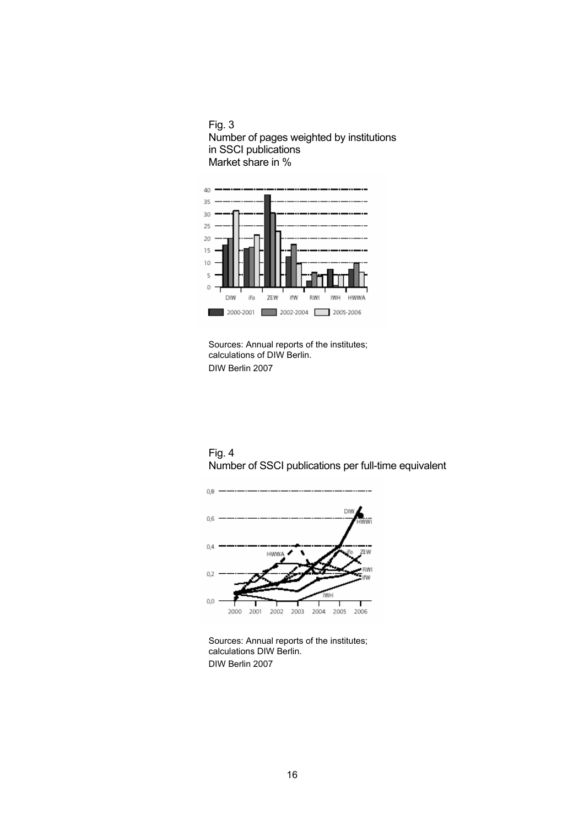Fig. 3 Number of pages weighted by institutions in SSCI publications Market share in %



Sources: Annual reports of the institutes; calculations of DIW Berlin. DIW Berlin 2007





Sources: Annual reports of the institutes; calculations DIW Berlin. DIW Berlin 2007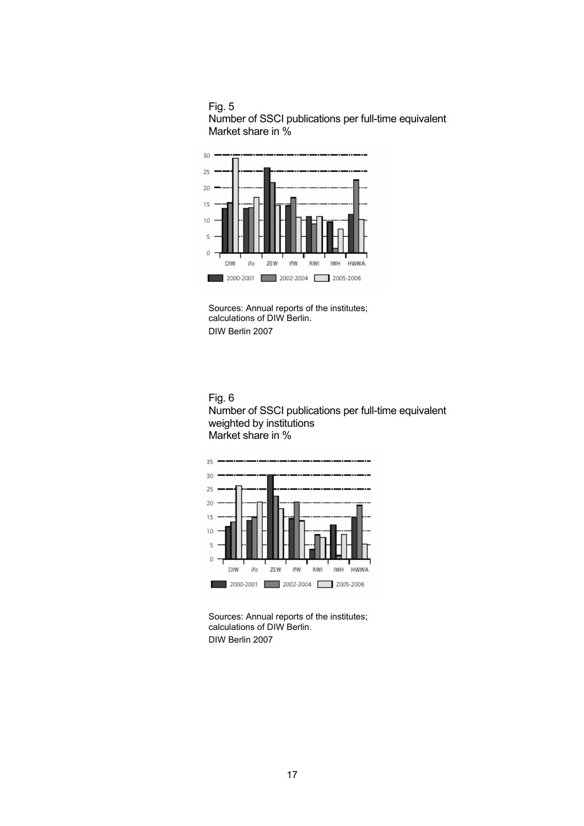Fig. 5

Number of SSCI publications per full-time equivalent Market share in %



Sources: Annual reports of the institutes; calculations of DIW Berlin. DIW Berlin 2007





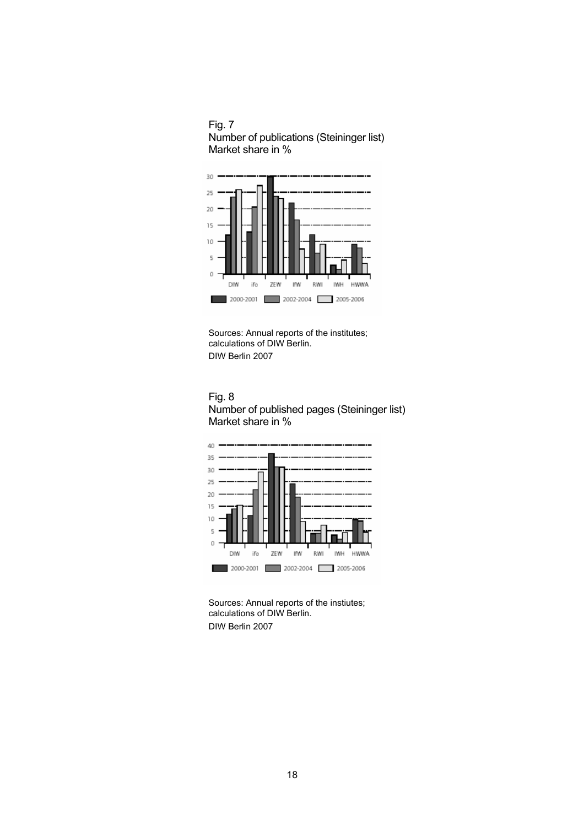Fig. 7 Number of publications (Steininger list) Market share in %



Sources: Annual reports of the institutes; calculations of DIW Berlin. DIW Berlin 2007





Sources: Annual reports of the instiutes; calculations of DIW Berlin. DIW Berlin 2007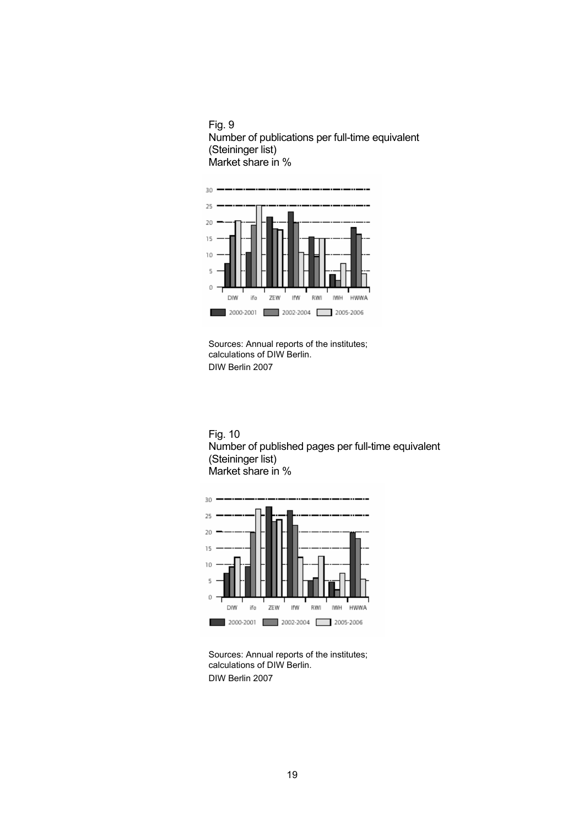Fig. 9 Number of publications per full-time equivalent (Steininger list) Market share in %



Sources: Annual reports of the institutes; calculations of DIW Berlin. DIW Berlin 2007





Sources: Annual reports of the institutes; calculations of DIW Berlin. DIW Berlin 2007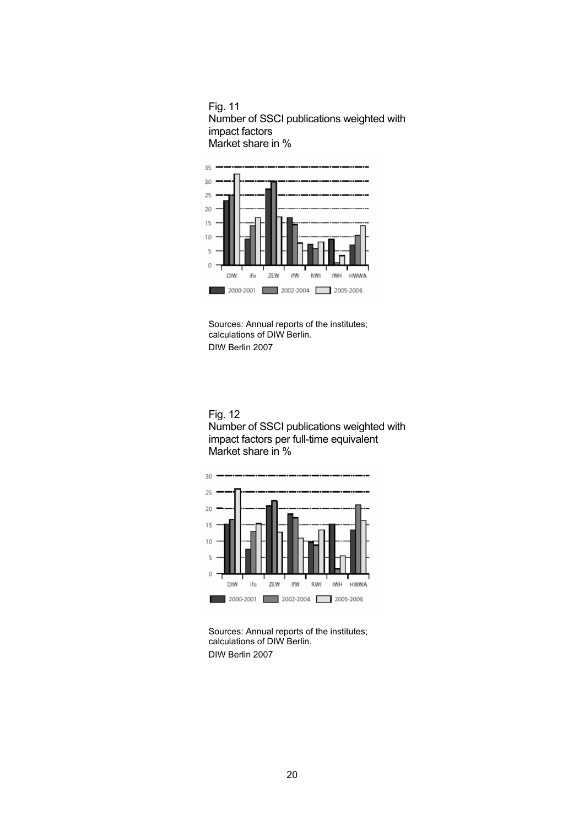Fig. 11 Number of SSCI publications weighted with impact factors Market share in %



Sources: Annual reports of the institutes; calculations of DIW Berlin. DIW Berlin 2007



Number of SSCI publications weighted with impact factors per full-time equivalent Market share in %



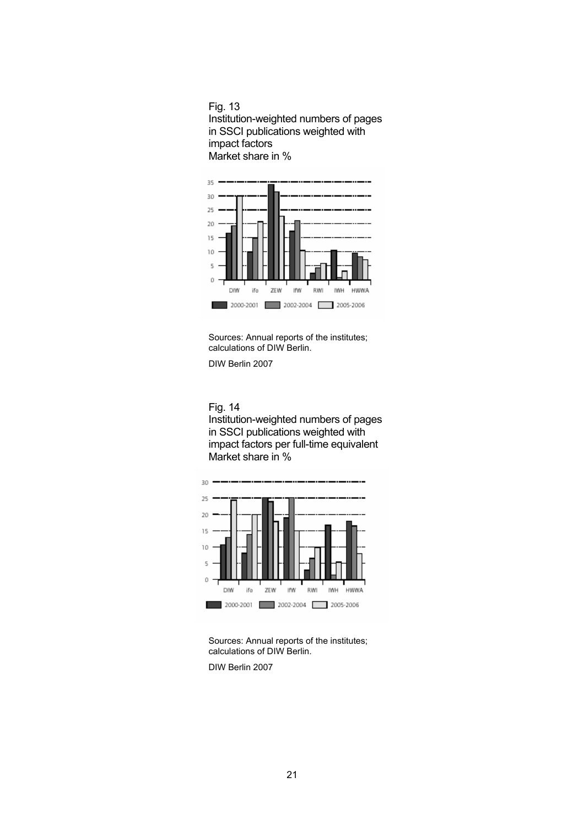Fig. 13 Institution-weighted numbers of pages in SSCI publications weighted with impact factors Market share in %



Sources: Annual reports of the institutes; calculations of DIW Berlin.

DIW Berlin 2007

Fig. 14

Institution-weighted numbers of pages in SSCI publications weighted with impact factors per full-time equivalent Market share in %



Sources: Annual reports of the institutes; calculations of DIW Berlin.

DIW Berlin 2007